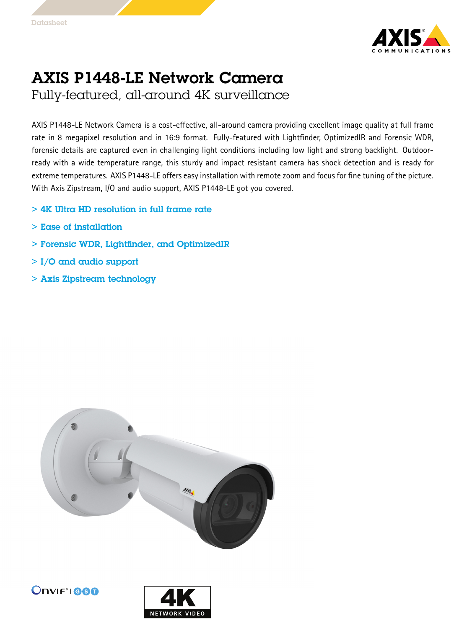

## AXIS P1448-LE Network Camera

Fully-featured, all-around 4K surveillance

AXIS P1448-LE Network Camera is <sup>a</sup> cost-effective, all-around camera providing excellent image quality at full frame rate in 8 megapixel resolution and in 16:9 format. Fully-featured with Lightfinder, OptimizedIR and Forensic WDR, forensic details are captured even in challenging light conditions including low light and strong backlight. Outdoorready with <sup>a</sup> wide temperature range, this sturdy and impact resistant camera has shock detection and is ready for extreme temperatures. AXIS P1448-LE offers easy installation with remote zoom and focus for fine tuning of the picture. With Axis Zipstream, I/O and audio support, AXIS P1448-LE got you covered.

- > 4K Ultra HD resolution in full frame rate
- > Ease of installation
- > Forensic WDR, Lightfinder, and OptimizedIR
- > I/O and audio support
- > Axis Zipstream technology





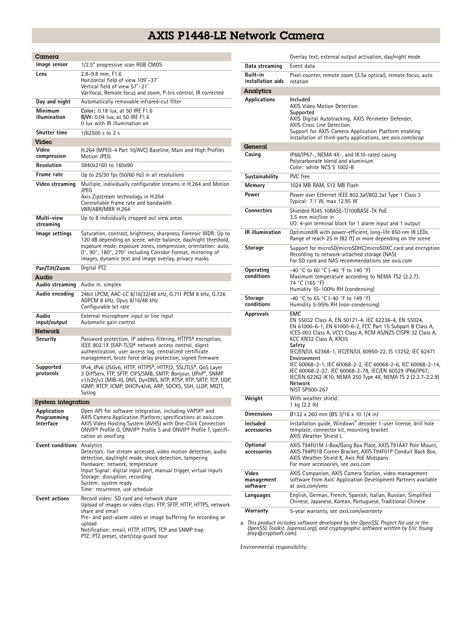## AXIS P1448-LE Network Camera

| Camera                                  |                                                                                                                                                                                                                                                                                                                                        |  |
|-----------------------------------------|----------------------------------------------------------------------------------------------------------------------------------------------------------------------------------------------------------------------------------------------------------------------------------------------------------------------------------------|--|
| lmage sensor                            | 1/2.5" progressive scan RGB CMOS                                                                                                                                                                                                                                                                                                       |  |
| Lens                                    | 2.8-9.8 mm, F1.6<br>Horizontal field of view 109°-37°<br>Vertical field of view 57°-21°<br>Varifocal, Remote focus and zoom, P-Iris control, IR corrected                                                                                                                                                                              |  |
| Day and night                           | Automatically removable infrared-cut filter                                                                                                                                                                                                                                                                                            |  |
| Minimum<br>illumination                 | Color: 0.18 lux, at 50 IRE F1.6<br>B/W: 0.04 lux, at 50 IRE F1.6<br>0 lux with IR illumination on                                                                                                                                                                                                                                      |  |
| <b>Shutter time</b>                     | $1/62500$ s to 2 s                                                                                                                                                                                                                                                                                                                     |  |
| Video                                   |                                                                                                                                                                                                                                                                                                                                        |  |
| Video<br>compression                    | H.264 (MPEG-4 Part 10/AVC) Baseline, Main and High Profiles<br><b>Motion JPEG</b>                                                                                                                                                                                                                                                      |  |
| Resolution                              | 3840x2160 to 160x90                                                                                                                                                                                                                                                                                                                    |  |
| Frame rate                              | Up to $25/30$ fps (50/60 Hz) in all resolutions                                                                                                                                                                                                                                                                                        |  |
| Video streaming                         | Multiple, individually configurable streams in H.264 and Motion<br>JPEG<br>Axis Zipstream technology in H.264<br>Controllable frame rate and bandwidth<br>VBR/ABR/MBR H.264                                                                                                                                                            |  |
| Multi-view<br>streaming                 | Up to 8 individually cropped out view areas                                                                                                                                                                                                                                                                                            |  |
| Image settings                          | Saturation, contrast, brightness, sharpness, Forensic WDR: Up to<br>120 dB depending on scene, white balance, day/night threshold,<br>exposure mode, exposure zones, compression, orientation: auto,<br>0°, 90°, 180°, 270° including Corridor Format, mirroring of<br>images, dynamic text and image overlay, privacy masks           |  |
| Pan/Tilt/Zoom                           | Digital PTZ                                                                                                                                                                                                                                                                                                                            |  |
| Audio                                   |                                                                                                                                                                                                                                                                                                                                        |  |
| Audio streaming                         | Audio in, simplex                                                                                                                                                                                                                                                                                                                      |  |
| Audio encoding                          | 24bit LPCM, AAC-LC 8/16/32/48 kHz, G.711 PCM 8 kHz, G.726<br>ADPCM 8 kHz, Opus 8/16/48 kHz<br>Configurable bit rate                                                                                                                                                                                                                    |  |
| Audio<br>input/output                   | External microphone input or line input<br>Automatic gain control                                                                                                                                                                                                                                                                      |  |
| <b>Network</b>                          |                                                                                                                                                                                                                                                                                                                                        |  |
| Security                                | Password protection, IP address filtering, HTTPS <sup>a</sup> encryption,<br>IEEE 802.1X (EAP-TLS) <sup>a</sup> network access control, digest<br>authentication, user access log, centralized certificate<br>management, brute force delay protection, signed firmware                                                                |  |
| Supported<br>protocols                  | IPv4, IPv6 USGv6, HTTP, HTTPS <sup>a</sup> , HTTP/2, SSL/TLS <sup>a</sup> , QoS Layer<br>3 DiffServ, FTP, SFTP, CIFS/SMB, SMTP, Bonjour, UPnP®, SNMP<br>v1/v2c/v3 (MIB-II), DNS, DynDNS, NTP, RTSP, RTP, SRTP, TCP, UDP,<br>IGMP, RTCP, ICMP, DHCPv4/v6, ARP, SOCKS, SSH, LLDP, MQTT,<br>Syslog                                        |  |
| System integration                      |                                                                                                                                                                                                                                                                                                                                        |  |
| Application<br>Programming<br>Interface | Open API for software integration, including VAPIX® and<br>AXIS Camera Application Platform; specifications at axis.com<br>AXIS Video Hosting System (AVHS) with One-Click Connection<br>ONVIF <sup>®</sup> Profile G, ONVIF® Profile S and ONVIF® Profile T, specifi-<br>cation at onvif.org                                          |  |
| <b>Event conditions</b>                 | Analytics<br>Detectors: live stream accessed, video motion detection, audio<br>detection, day/night mode, shock detection, tampering<br>Hardware: network, temperature<br>Input Signal: digital input port, manual trigger, virtual inputs<br>Storage: disruption, recording<br>System: system ready<br>Time: recurrence, use schedule |  |
| <b>Event actions</b>                    | Record video: SD card and network share<br>Upload of images or video clips: FTP, SFTP, HTTP, HTTPS, network<br>share and email<br>Pre- and post-alarm video or image buffering for recording or<br>upload<br>Notification: email, HTTP, HTTPS, TCP and SNMP trap<br>PTZ: PTZ preset, start/stop quard tour                             |  |

|                                 | Overlay text, external output activation, day/night mode                                                                                                                                                                                                                                                                                                                                                                                                                                                                                  |
|---------------------------------|-------------------------------------------------------------------------------------------------------------------------------------------------------------------------------------------------------------------------------------------------------------------------------------------------------------------------------------------------------------------------------------------------------------------------------------------------------------------------------------------------------------------------------------------|
| Data streaming                  | Event data                                                                                                                                                                                                                                                                                                                                                                                                                                                                                                                                |
| Built-in<br>installation aids   | Pixel counter, remote zoom (3.5x optical), remote focus, auto<br>rotation                                                                                                                                                                                                                                                                                                                                                                                                                                                                 |
| Analytics                       |                                                                                                                                                                                                                                                                                                                                                                                                                                                                                                                                           |
| <b>Applications</b>             | Included<br><b>AXIS Video Motion Detection</b><br>Supported<br>AXIS Digital Autotracking, AXIS Perimeter Defender,<br><b>AXIS Cross Line Detection</b><br>Support for AXIS Camera Application Platform enabling<br>installation of third-party applications, see <i>axis.com/acap</i>                                                                                                                                                                                                                                                     |
| General                         |                                                                                                                                                                                                                                                                                                                                                                                                                                                                                                                                           |
| Casing                          | IP66/IP67-, NEMA 4X-, and IK10-rated casing<br>Polycarbonate blend and aluminium<br>Color: white NCS S 1002-B                                                                                                                                                                                                                                                                                                                                                                                                                             |
| Sustainability                  | PVC free                                                                                                                                                                                                                                                                                                                                                                                                                                                                                                                                  |
| Memory                          | 1024 MB RAM, 512 MB Flash                                                                                                                                                                                                                                                                                                                                                                                                                                                                                                                 |
| Power                           | Power over Ethernet IEEE 802.3af/802.3at Type 1 Class 3<br>Typical: 7.1 W, max 12.95 W                                                                                                                                                                                                                                                                                                                                                                                                                                                    |
| Connectors                      | Shielded RJ45 10BASE-T/100BASE-TX PoE<br>3.5 mm mic/line in<br>I/O: 4-pin terminal block for 1 alarm input and 1 output                                                                                                                                                                                                                                                                                                                                                                                                                   |
| <b>IR</b> illumination          | OptimizedIR with power-efficient, long-life 850 nm IR LEDs<br>Range of reach 25 m (82 ft) or more depending on the scene                                                                                                                                                                                                                                                                                                                                                                                                                  |
| <b>Storage</b>                  | Support for microSD/microSDHC/microSDXC card and encryption<br>Recording to network-attached storage (NAS)<br>For SD card and NAS recommendations see <i>axis.com</i>                                                                                                                                                                                                                                                                                                                                                                     |
| Operating<br>conditions         | -40 °C to 60 °C (-40 °F to 140 °F)<br>Maximum temperature according to NEMA TS2 (2.2.7):<br>74 °C (165 °F)<br>Humidity 10-100% RH (condensing)                                                                                                                                                                                                                                                                                                                                                                                            |
| Storage<br>conditions           | -40 °C to 65 °C (-40 °F to 149 °F)<br>Humidity 5-95% RH (non-condensing)                                                                                                                                                                                                                                                                                                                                                                                                                                                                  |
| Approvals                       | EMC<br>EN 55032 Class A, EN 50121-4, IEC 62236-4, EN 55024,<br>EN 61000-6-1, EN 61000-6-2, FCC Part 15 Subpart B Class A,<br>ICES-003 Class A, VCCI Class A, RCM AS/NZS CISPR 32 Class A,<br>KCC KN32 Class A, KN35<br>Safety<br>IEC/EN/UL 62368-1, IEC/EN/UL 60950-22, IS 13252, IEC 62471<br>Environment<br>IEC 60068-2-1, IEC 60068-2-2, IEC 60068-2-6, IEC 60068-2-14,<br>IEC 60068-2-27, IEC 60068-2-78, IEC/EN 60529 IP66/IP67,<br>IEC/EN 62262 IK10, NEMA 250 Type 4X, NEMA TS 2 (2.2.7-2.2.9)<br>Network<br><b>NIST SP500-267</b> |
| Weight                          | With weather shield:<br>1 kg (2.2 lb)                                                                                                                                                                                                                                                                                                                                                                                                                                                                                                     |
| Dimensions                      | Ø132 x 260 mm (Ø5 3/16 x 10 1/4 in)                                                                                                                                                                                                                                                                                                                                                                                                                                                                                                       |
| Included<br>accessories         | Installation guide, Windows® decoder 1-user license, drill hole<br>template, connector kit, mounting bracket<br>AXIS Weather Shield L                                                                                                                                                                                                                                                                                                                                                                                                     |
| Optional<br>accessories         | AXIS T94F01M J-Box/Gang Box Plate, AXIS T91A47 Pole Mount,<br>AXIS T94P01B Corner Bracket, AXIS T94F01P Conduit Back Box,<br>AXIS Weather Shield K, Axis PoE Midspans<br>For more accessories, see axis.com                                                                                                                                                                                                                                                                                                                               |
| Video<br>management<br>software | AXIS Companion, AXIS Camera Station, video management<br>software from Axis' Application Development Partners available<br>at axis.com/vms                                                                                                                                                                                                                                                                                                                                                                                                |
| Languages                       | English, German, French, Spanish, Italian, Russian, Simplified<br>Chinese, Japanese, Korean, Portuguese, Traditional Chinese                                                                                                                                                                                                                                                                                                                                                                                                              |
| Warranty                        | 5-year warranty, see axis.com/warranty                                                                                                                                                                                                                                                                                                                                                                                                                                                                                                    |
|                                 |                                                                                                                                                                                                                                                                                                                                                                                                                                                                                                                                           |

a. This product includes software developed by the OpenSSL Project for use in the<br>OpenSSL Toolkit. (openssl.org), and cryptographic software written by Eric Young<br>(eay@cryptsoft.com).

Environmental responsibility: